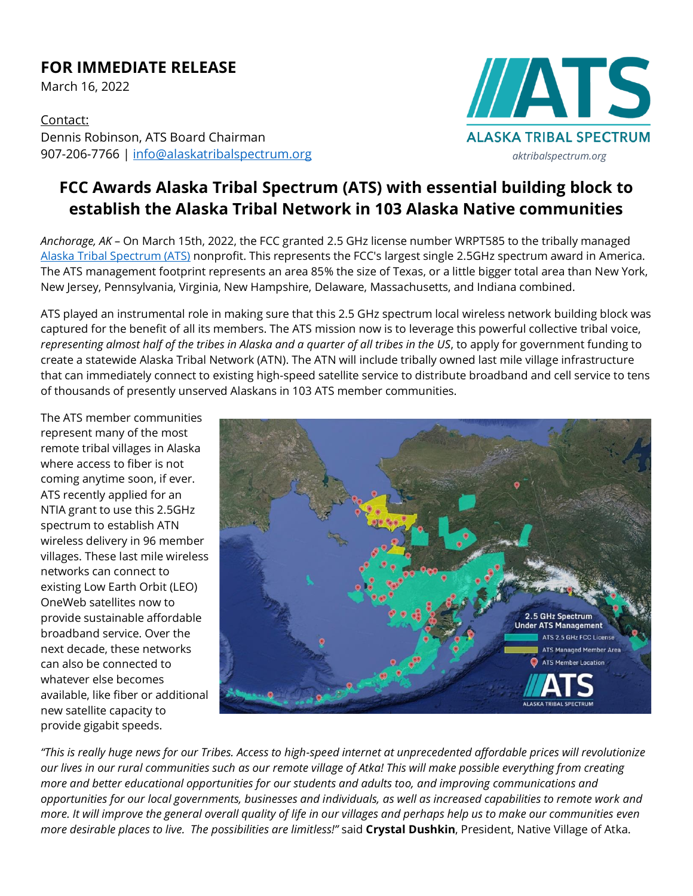## **FOR IMMEDIATE RELEASE**

March 16, 2022

Contact: Dennis Robinson, ATS Board Chairman 907-206-7766 | [info@alaskatribalspectrum.org](mailto:info@alaskatribalspectrum.org)

# **IATS ALASKA TRIBAL SPECTRUM** *aktribalspectrum.org*

## **FCC Awards Alaska Tribal Spectrum (ATS) with essential building block to establish the Alaska Tribal Network in 103 Alaska Native communities**

*Anchorage, AK* – On March 15th, 2022, the FCC granted 2.5 GHz license number WRPT585 to the tribally managed [Alaska Tribal Spectrum \(ATS\)](https://aktribalspectrum.org/) nonprofit. This represents the FCC's largest single 2.5GHz spectrum award in America. The ATS management footprint represents an area 85% the size of Texas, or a little bigger total area than New York, New Jersey, Pennsylvania, Virginia, New Hampshire, Delaware, Massachusetts, and Indiana combined.

ATS played an instrumental role in making sure that this 2.5 GHz spectrum local wireless network building block was captured for the benefit of all its members. The ATS mission now is to leverage this powerful collective tribal voice, *representing almost half of the tribes in Alaska and a quarter of all tribes in the US*, to apply for government funding to create a statewide Alaska Tribal Network (ATN). The ATN will include tribally owned last mile village infrastructure that can immediately connect to existing high-speed satellite service to distribute broadband and cell service to tens of thousands of presently unserved Alaskans in 103 ATS member communities.

The ATS member communities represent many of the most remote tribal villages in Alaska where access to fiber is not coming anytime soon, if ever. ATS recently applied for an NTIA grant to use this 2.5GHz spectrum to establish ATN wireless delivery in 96 member villages. These last mile wireless networks can connect to existing Low Earth Orbit (LEO) OneWeb satellites now to provide sustainable affordable broadband service. Over the next decade, these networks can also be connected to whatever else becomes available, like fiber or additional new satellite capacity to provide gigabit speeds.



*"This is really huge news for our Tribes. Access to high-speed internet at unprecedented affordable prices will revolutionize our lives in our rural communities such as our remote village of Atka! This will make possible everything from creating more and better educational opportunities for our students and adults too, and improving communications and opportunities for our local governments, businesses and individuals, as well as increased capabilities to remote work and more. It will improve the general overall quality of life in our villages and perhaps help us to make our communities even more desirable places to live. The possibilities are limitless!"* said **Crystal Dushkin**, President, Native Village of Atka.